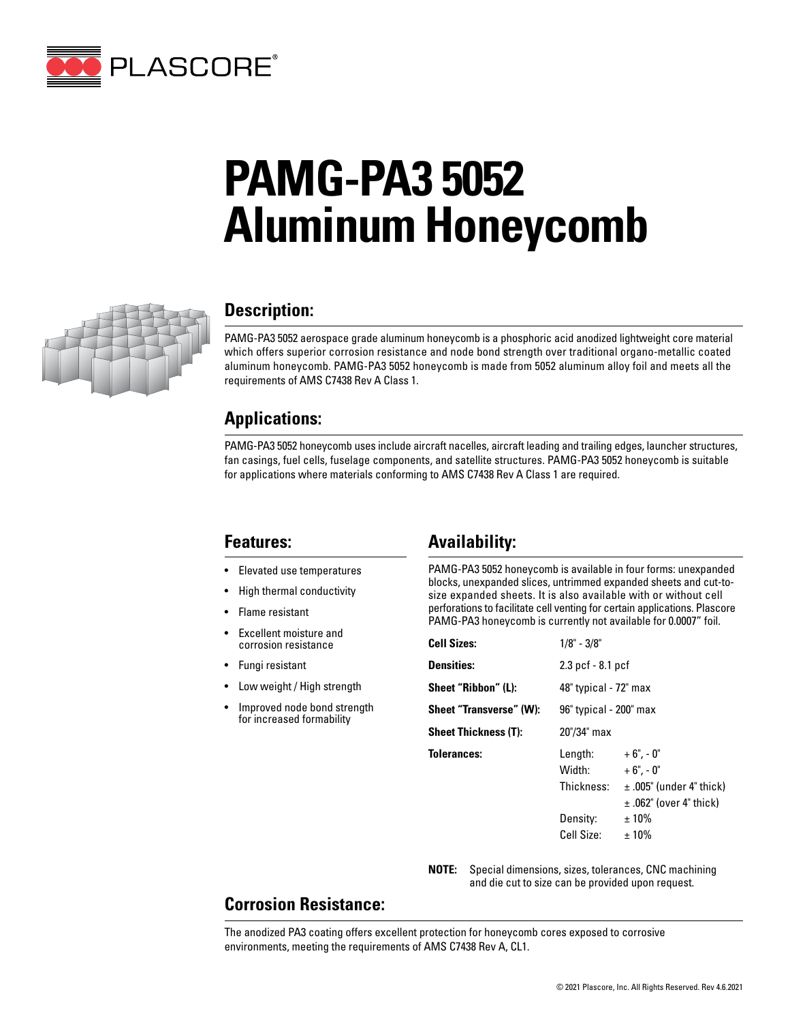

# **PAMG-PA3 5052 Aluminum Honeycomb**



## **Description:**

PAMG-PA3 5052 aerospace grade aluminum honeycomb is a phosphoric acid anodized lightweight core material which offers superior corrosion resistance and node bond strength over traditional organo-metallic coated aluminum honeycomb. PAMG-PA3 5052 honeycomb is made from 5052 aluminum alloy foil and meets all the requirements of AMS C7438 Rev A Class 1.

### **Applications:**

PAMG-PA3 5052 honeycomb uses include aircraft nacelles, aircraft leading and trailing edges, launcher structures, fan casings, fuel cells, fuselage components, and satellite structures. PAMG-PA3 5052 honeycomb is suitable for applications where materials conforming to AMS C7438 Rev A Class 1 are required.

### **Features:**

- Elevated use temperatures
- High thermal conductivity
- Flame resistant
- Excellent moisture and corrosion resistance
- Fungi resistant
- Low weight / High strength
- Improved node bond strength for increased formability

# **Availability:**

PAMG-PA3 5052 honeycomb is available in four forms: unexpanded blocks, unexpanded slices, untrimmed expanded sheets and cut-tosize expanded sheets. It is also available with or without cell perforations to facilitate cell venting for certain applications. Plascore PAMG-PA3 honeycomb is currently not available for 0.0007" foil.

| <b>Cell Sizes:</b>          | $1/8" - 3/8"$                   |                                                                                          |  |
|-----------------------------|---------------------------------|------------------------------------------------------------------------------------------|--|
| <b>Densities:</b>           | 2.3 pcf - 8.1 pcf               |                                                                                          |  |
| Sheet "Ribbon" (L):         | 48" typical - 72" max           |                                                                                          |  |
| Sheet "Transverse" (W):     | 96" typical - 200" max          |                                                                                          |  |
| <b>Sheet Thickness (T):</b> | 20"/34" max                     |                                                                                          |  |
| <b>Tolerances:</b>          | Length:<br>Width:<br>Thickness: | $+6$ ", - 0"<br>$+6" -0"$<br>$\pm$ .005" (under 4" thick)<br>$\pm$ .062" (over 4" thick) |  |
|                             | Density:<br>Cell Size:          | $±10\%$<br>$±10\%$                                                                       |  |

**NOTE:** Special dimensions, sizes, tolerances, CNC machining and die cut to size can be provided upon request.

# **Corrosion Resistance:**

The anodized PA3 coating offers excellent protection for honeycomb cores exposed to corrosive environments, meeting the requirements of AMS C7438 Rev A, CL1.